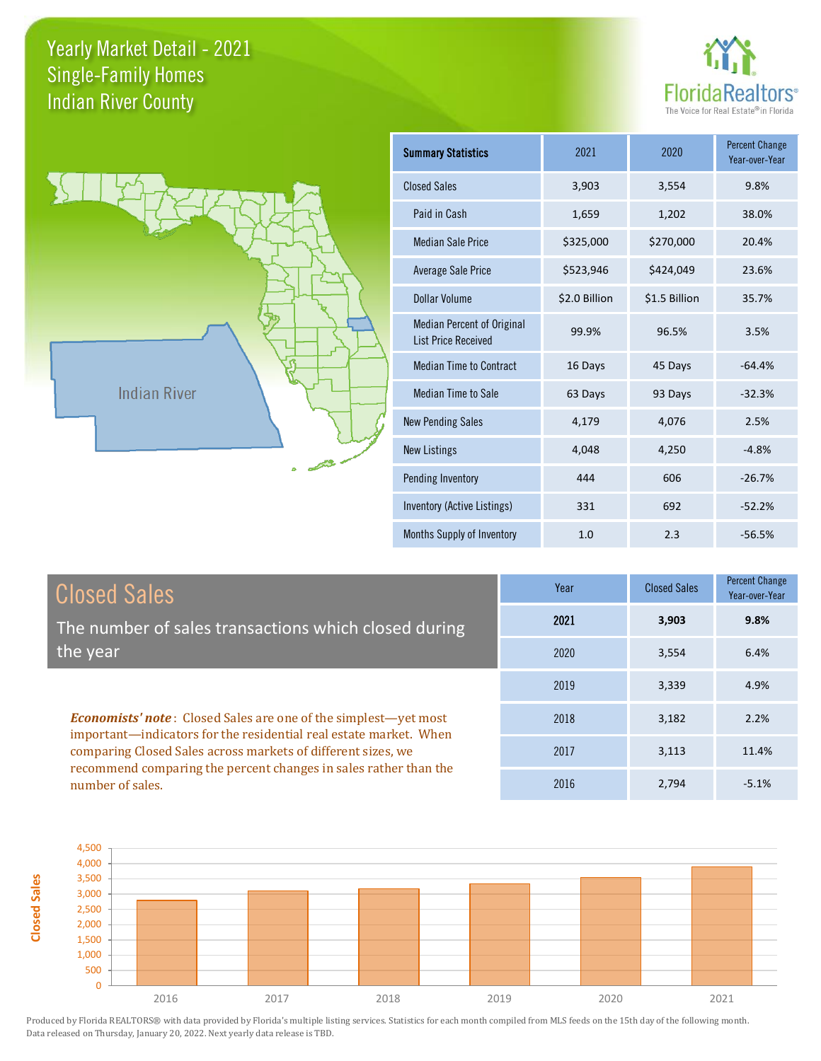



| <b>Summary Statistics</b>                                       | 2021          | 2020          | <b>Percent Change</b><br>Year-over-Year |
|-----------------------------------------------------------------|---------------|---------------|-----------------------------------------|
| <b>Closed Sales</b>                                             | 3,903         | 3,554         | 9.8%                                    |
| Paid in Cash                                                    | 1,659         | 1,202         | 38.0%                                   |
| <b>Median Sale Price</b>                                        | \$325,000     | \$270,000     | 20.4%                                   |
| <b>Average Sale Price</b>                                       | \$523,946     | \$424,049     | 23.6%                                   |
| Dollar Volume                                                   | \$2.0 Billion | \$1.5 Billion | 35.7%                                   |
| <b>Median Percent of Original</b><br><b>List Price Received</b> | 99.9%         | 96.5%         | 3.5%                                    |
| <b>Median Time to Contract</b>                                  | 16 Days       | 45 Days       | $-64.4%$                                |
| <b>Median Time to Sale</b>                                      | 63 Days       | 93 Days       | $-32.3%$                                |
| <b>New Pending Sales</b>                                        | 4,179         | 4,076         | 2.5%                                    |
| <b>New Listings</b>                                             | 4,048         | 4,250         | $-4.8%$                                 |
| Pending Inventory                                               | 444           | 606           | $-26.7%$                                |
| Inventory (Active Listings)                                     | 331           | 692           | $-52.2%$                                |
| Months Supply of Inventory                                      | 1.0           | 2.3           | $-56.5%$                                |

| <b>Closed Sales</b>                                                                                                                                                                                         | Year | <b>Closed Sales</b> | <b>Percent Change</b><br>Year-over-Year |
|-------------------------------------------------------------------------------------------------------------------------------------------------------------------------------------------------------------|------|---------------------|-----------------------------------------|
| The number of sales transactions which closed during                                                                                                                                                        | 2021 | 3,903               | 9.8%                                    |
| the year                                                                                                                                                                                                    | 2020 | 3,554               | 6.4%                                    |
|                                                                                                                                                                                                             | 2019 | 3,339               | 4.9%                                    |
| <b>Economists' note:</b> Closed Sales are one of the simplest—yet most<br>important—indicators for the residential real estate market. When<br>comparing Closed Sales across markets of different sizes, we | 2018 | 3,182               | 2.2%                                    |
|                                                                                                                                                                                                             | 2017 | 3,113               | 11.4%                                   |
| recommend comparing the percent changes in sales rather than the<br>number of sales.                                                                                                                        | 2016 | 2,794               | $-5.1%$                                 |

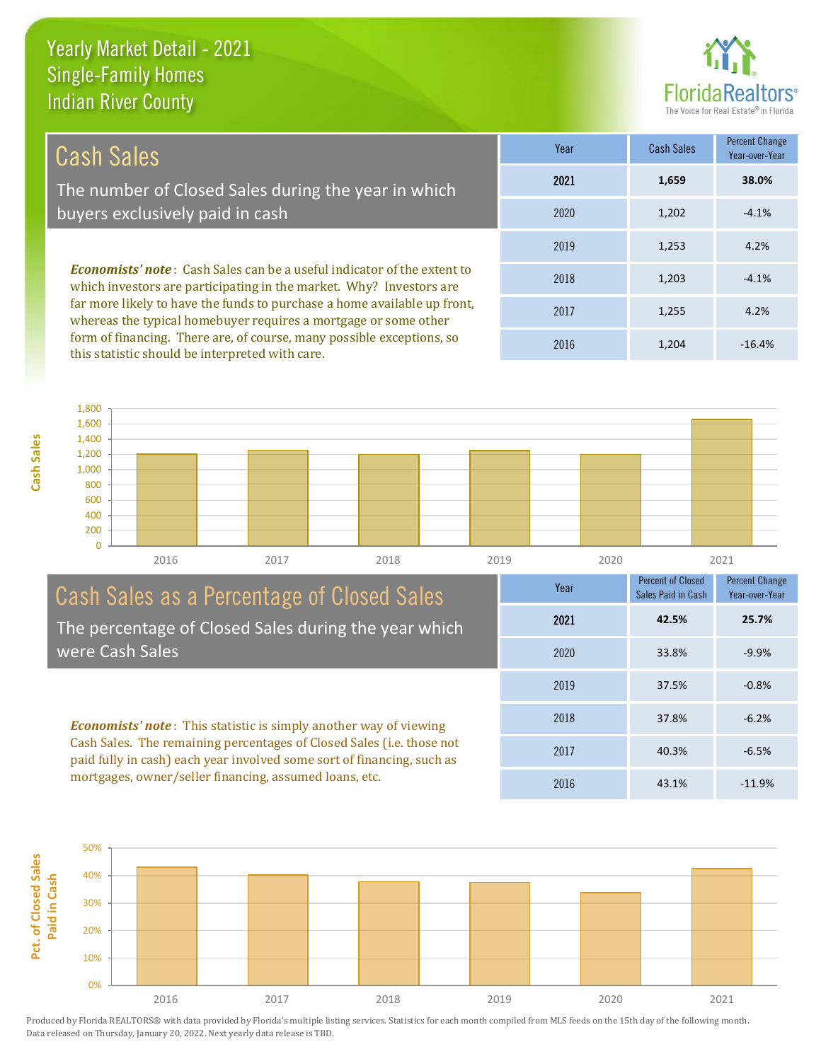this statistic should be interpreted with care.

**Cash Sales**



1,204 -16.4%

| Cash Sales                                                                                                                                            | Year | <b>Cash Sales</b> | Percent Change<br>Year-over-Year |
|-------------------------------------------------------------------------------------------------------------------------------------------------------|------|-------------------|----------------------------------|
| The number of Closed Sales during the year in which                                                                                                   | 2021 | 1,659             | 38.0%                            |
| buyers exclusively paid in cash                                                                                                                       | 2020 | 1,202             | $-4.1%$                          |
|                                                                                                                                                       | 2019 | 1,253             | 4.2%                             |
| <b>Economists' note:</b> Cash Sales can be a useful indicator of the extent to<br>which investors are participating in the market. Why? Investors are | 2018 | 1,203             | $-4.1%$                          |
| far more likely to have the funds to purchase a home available up front,<br>whereas the typical homebuyer requires a mortgage or some other           | 2017 | 1,255             | 4.2%                             |
| form of financing. There are, of course, many possible exceptions, so                                                                                 | 001C | 1.201             | $AC$ $AO$                        |

0 200 400 600 800 1,000 1,200 1,400 1,600 1,800 2016 2017 2018 2019 2020 2021

## Cash Sales as a Percentage of Closed Sales The percentage of Closed Sales during the year which were Cash Sales

*Economists' note* : This statistic is simply another way of viewing Cash Sales. The remaining percentages of Closed Sales (i.e. those not paid fully in cash) each year involved some sort of financing, such as mortgages, owner/seller financing, assumed loans, etc.



2016

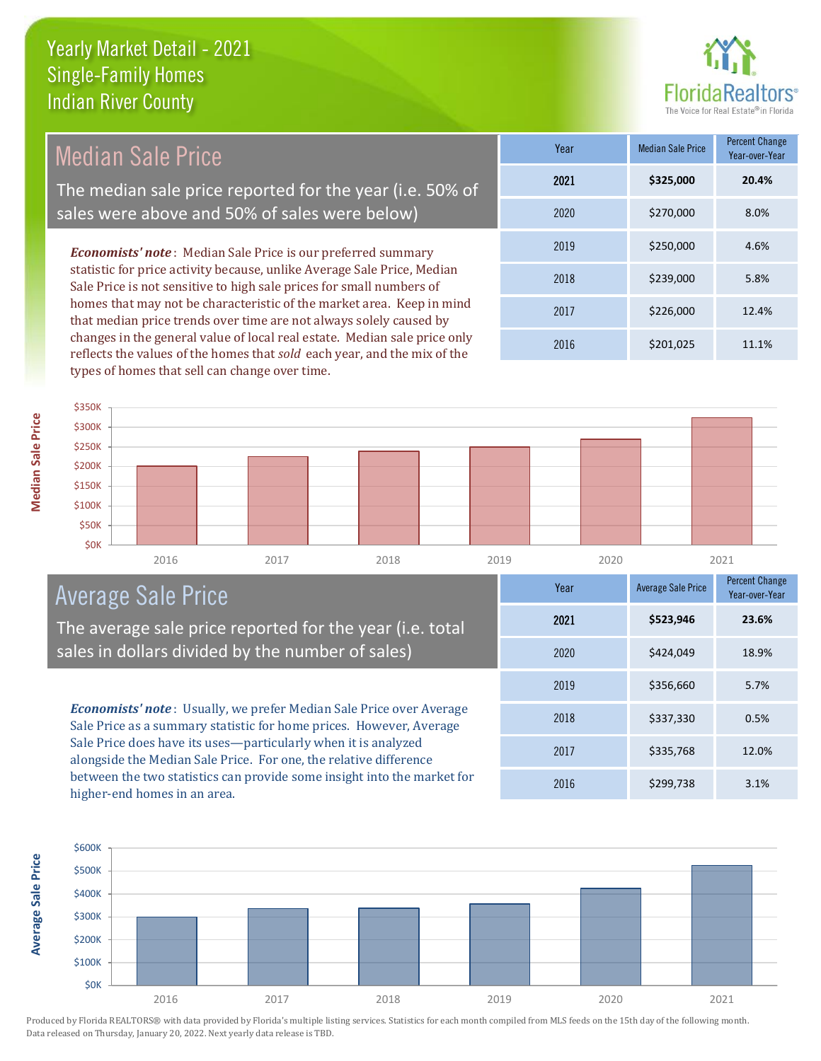

Median Sale Price The median sale price reported for the year (i.e. 50% of sales were above and 50% of sales were below)

*Economists' note* : Median Sale Price is our preferred summary statistic for price activity because, unlike Average Sale Price, Median Sale Price is not sensitive to high sale prices for small numbers of homes that may not be characteristic of the market area. Keep in mind that median price trends over time are not always solely caused by changes in the general value of local real estate. Median sale price only reflects the values of the homes that *sold* each year, and the mix of the types of homes that sell can change over time.

| Year | <b>Median Sale Price</b> | <b>Percent Change</b><br>Year-over-Year |
|------|--------------------------|-----------------------------------------|
| 2021 | \$325,000                | 20.4%                                   |
| 2020 | \$270,000                | 8.0%                                    |
| 2019 | \$250,000                | 4.6%                                    |
| 2018 | \$239,000                | 5.8%                                    |
| 2017 | \$226,000                | 12.4%                                   |
| 2016 | \$201,025                | 11.1%                                   |



# Average Sale Price

The average sale price reported for the year (i.e. total sales in dollars divided by the number of sales)

*Economists' note* : Usually, we prefer Median Sale Price over Average Sale Price as a summary statistic for home prices. However, Average Sale Price does have its uses—particularly when it is analyzed alongside the Median Sale Price. For one, the relative difference between the two statistics can provide some insight into the market for higher-end homes in an area.

| Year | <b>Average Sale Price</b> | <b>Percent Change</b><br>Year-over-Year |
|------|---------------------------|-----------------------------------------|
| 2021 | \$523,946                 | 23.6%                                   |
| 2020 | \$424,049                 | 18.9%                                   |
| 2019 | \$356,660                 | 5.7%                                    |
| 2018 | \$337,330                 | 0.5%                                    |
| 2017 | \$335,768                 | 12.0%                                   |
| 2016 | \$299,738                 | 3.1%                                    |

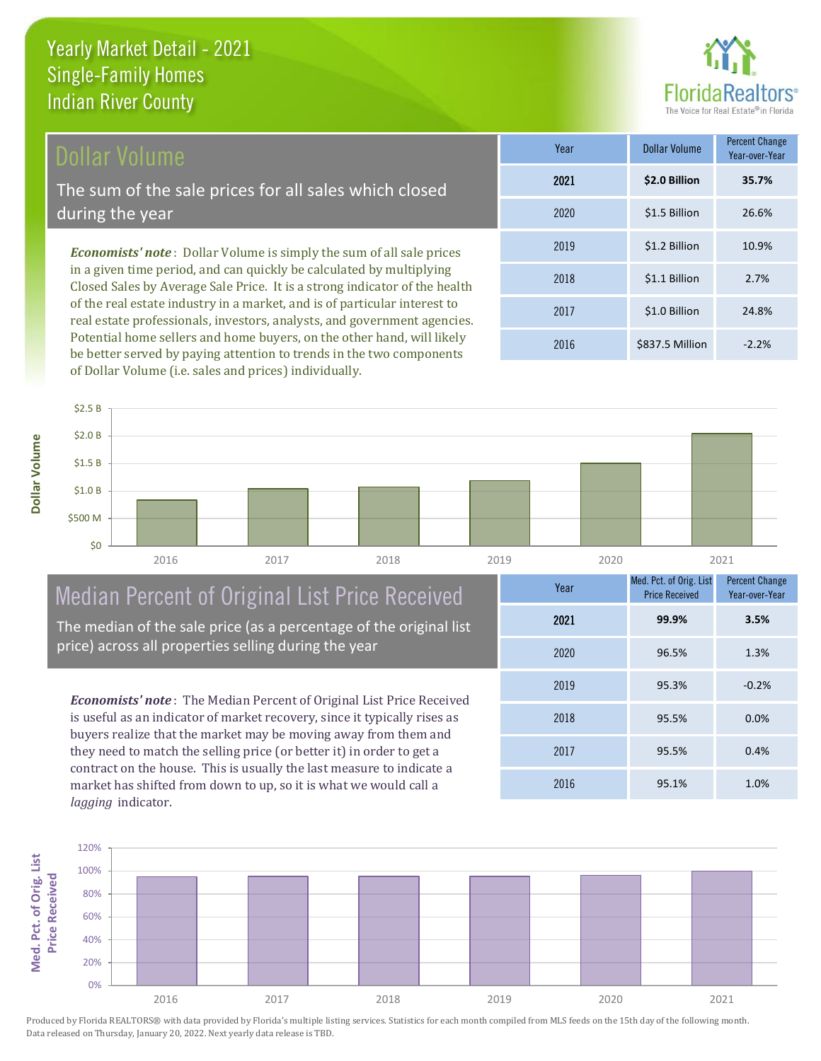# Dollar Volume

The sum of the sale prices for all sales which closed during the year

*Economists' note* : Dollar Volume is simply the sum of all sale prices in a given time period, and can quickly be calculated by multiplying Closed Sales by Average Sale Price. It is a strong indicator of the health of the real estate industry in a market, and is of particular interest to real estate professionals, investors, analysts, and government agencies. Potential home sellers and home buyers, on the other hand, will likely be better served by paying attention to trends in the two components of Dollar Volume (i.e. sales and prices) individually.

| Year | <b>Dollar Volume</b> | <b>Percent Change</b><br>Year-over-Year |
|------|----------------------|-----------------------------------------|
| 2021 | \$2.0 Billion        | 35.7%                                   |
| 2020 | \$1.5 Billion        | 26.6%                                   |
| 2019 | \$1.2 Billion        | 10.9%                                   |
| 2018 | \$1.1 Billion        | 2.7%                                    |
| 2017 | \$1.0 Billion        | 24.8%                                   |
| 2016 | \$837.5 Million      | $-2.2%$                                 |

**Dollar Volume**



# Median Percent of Original List Price Received

The median of the sale price (as a percentage of the original list price) across all properties selling during the year

*Economists' note* : The Median Percent of Original List Price Received is useful as an indicator of market recovery, since it typically rises as buyers realize that the market may be moving away from them and they need to match the selling price (or better it) in order to get a contract on the house. This is usually the last measure to indicate a market has shifted from down to up, so it is what we would call a *lagging* indicator.

| Year | Med. Pct. of Orig. List<br><b>Price Received</b> | <b>Percent Change</b><br>Year-over-Year |
|------|--------------------------------------------------|-----------------------------------------|
| 2021 | 99.9%                                            | 3.5%                                    |
| 2020 | 96.5%                                            | 1.3%                                    |
| 2019 | 95.3%                                            | $-0.2%$                                 |
| 2018 | 95.5%                                            | 0.0%                                    |
| 2017 | 95.5%                                            | 0.4%                                    |
| 2016 | 95.1%                                            | 1.0%                                    |

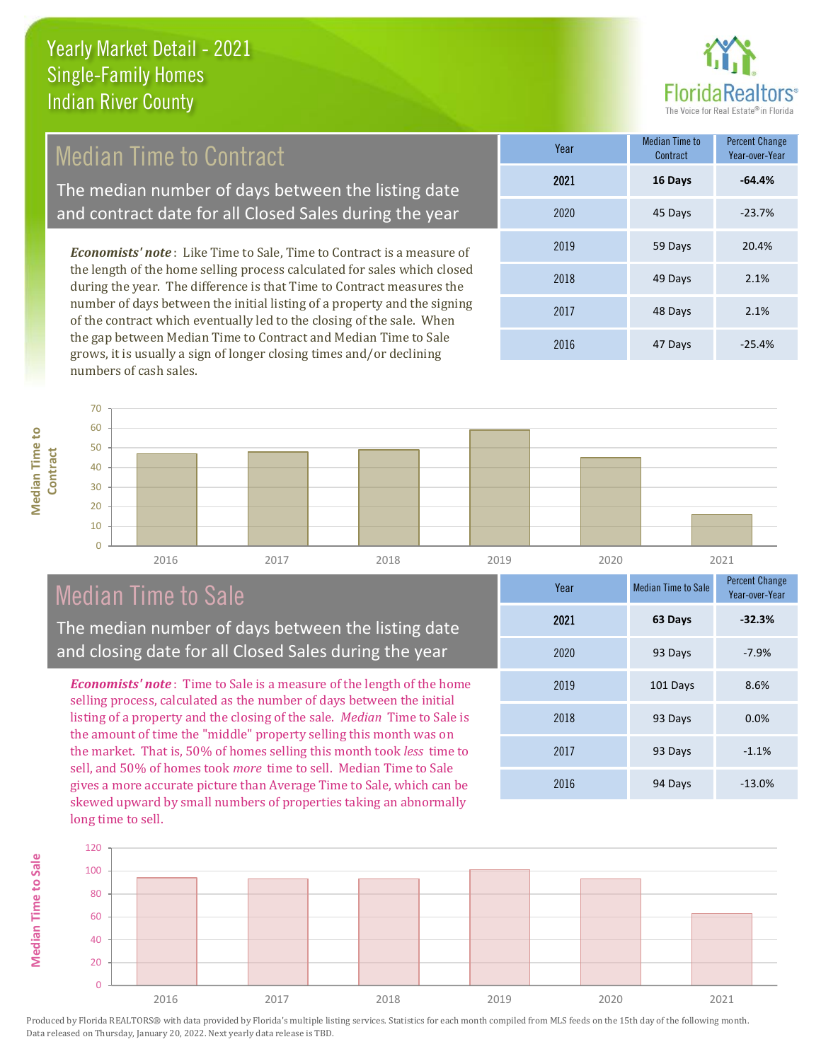

# Median Time to Contract

The median number of days between the listing date and contract date for all Closed Sales during the year

*Economists' note* : Like Time to Sale, Time to Contract is a measure of the length of the home selling process calculated for sales which closed during the year. The difference is that Time to Contract measures the number of days between the initial listing of a property and the signing of the contract which eventually led to the closing of the sale. When the gap between Median Time to Contract and Median Time to Sale grows, it is usually a sign of longer closing times and/or declining numbers of cash sales.

| Year | <b>Median Time to</b><br>Contract | <b>Percent Change</b><br>Year-over-Year |
|------|-----------------------------------|-----------------------------------------|
| 2021 | 16 Days                           | $-64.4%$                                |
| 2020 | 45 Days                           | $-23.7%$                                |
| 2019 | 59 Days                           | 20.4%                                   |
| 2018 | 49 Days                           | 2.1%                                    |
| 2017 | 48 Days                           | 2.1%                                    |
| 2016 | 47 Days                           | $-25.4%$                                |

70  $60$ **Median Time to Median Time to**   $50$ **Contract** 40 30

**Median Time to Sale**

**Median Time to Sale** 



# Median Time to Sale

The median number of days between the listing date and closing date for all Closed Sales during the year

*Economists' note* : Time to Sale is a measure of the length of the home selling process, calculated as the number of days between the initial listing of a property and the closing of the sale. *Median* Time to Sale is the amount of time the "middle" property selling this month was on the market. That is, 50% of homes selling this month took *less* time to sell, and 50% of homes took *more* time to sell. Median Time to Sale gives a more accurate picture than Average Time to Sale, which can be skewed upward by small numbers of properties taking an abnormally long time to sell.

| Year | <b>Median Time to Sale</b> | <b>Percent Change</b><br>Year-over-Year |
|------|----------------------------|-----------------------------------------|
| 2021 | 63 Days                    | $-32.3%$                                |
| 2020 | 93 Days                    | $-7.9%$                                 |
| 2019 | 101 Days                   | 8.6%                                    |
| 2018 | 93 Days                    | 0.0%                                    |
| 2017 | 93 Days                    | $-1.1%$                                 |
| 2016 | 94 Days                    | $-13.0%$                                |

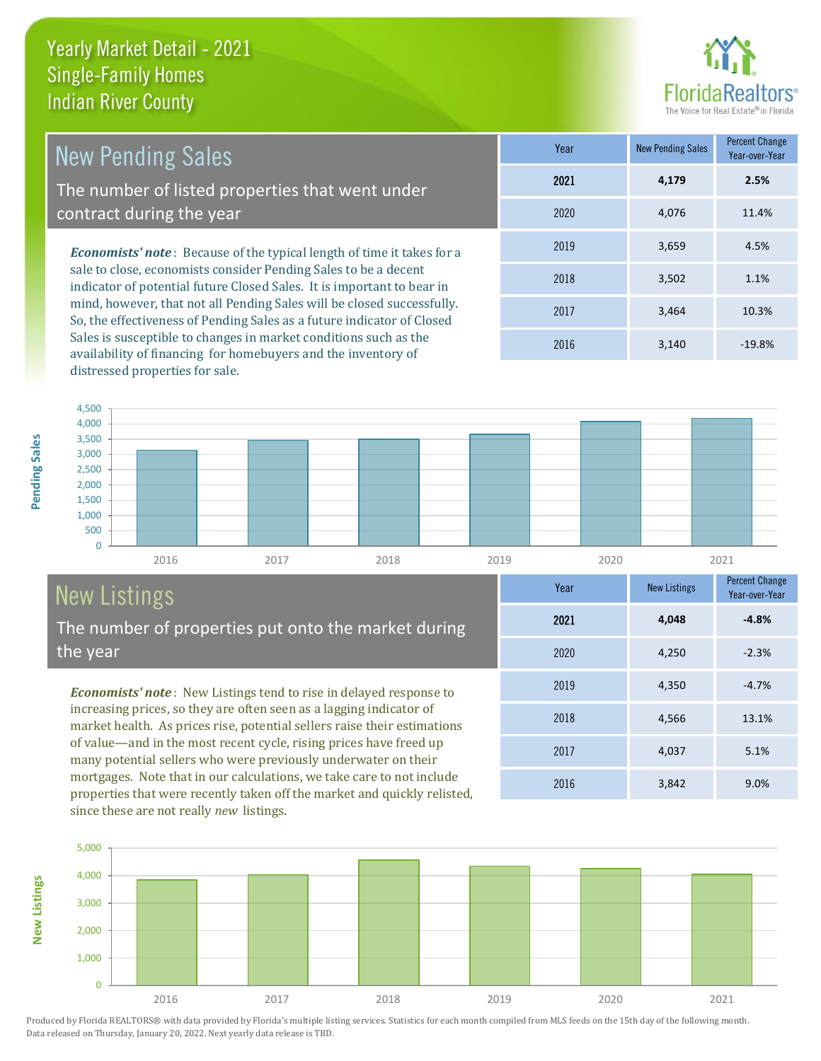

4,566 13.1%

Year-over-Year

**-4.8%**

**Year** New Listings Percent Change

2016 3,842 9.0%

2017 4,037 5.1%

2019 4,350 -4.7%

2020 4,250 -2.3%

2021 **4,048**

2018

| New Pending Sales                                                                                                                         | Year | <b>New Pending Sales</b> | <b>Percent Change</b><br>Year-over-Year |
|-------------------------------------------------------------------------------------------------------------------------------------------|------|--------------------------|-----------------------------------------|
| The number of listed properties that went under                                                                                           | 2021 | 4.179                    | 2.5%                                    |
| contract during the year                                                                                                                  | 2020 | 4.076                    | 11.4%                                   |
| <b>Economists' note:</b> Because of the typical length of time it takes for a                                                             | 2019 | 3.659                    | 4.5%                                    |
| sale to close, economists consider Pending Sales to be a decent<br>indicator of potential future Closed Sales. It is important to bear in | 2018 | 3,502                    | 1.1%                                    |
| mind, however, that not all Pending Sales will be closed successfully.                                                                    | 2017 | 3.464                    | 10.3%                                   |

So, the effectiveness of Pending Sales as a future indicator of Closed Sales is susceptible to changes in market conditions such as the availability of financing for homebuyers and the inventory of distressed properties for sale.





# New Listings

**New Listings**

**Pending Sales**

Pending Sales

The number of properties put onto the market during the year

*Economists' note* : New Listings tend to rise in delayed response to increasing prices, so they are often seen as a lagging indicator of market health. As prices rise, potential sellers raise their estimations of value—and in the most recent cycle, rising prices have freed up many potential sellers who were previously underwater on their mortgages. Note that in our calculations, we take care to not include properties that were recently taken off the market and quickly relisted, since these are not really *new* listings.

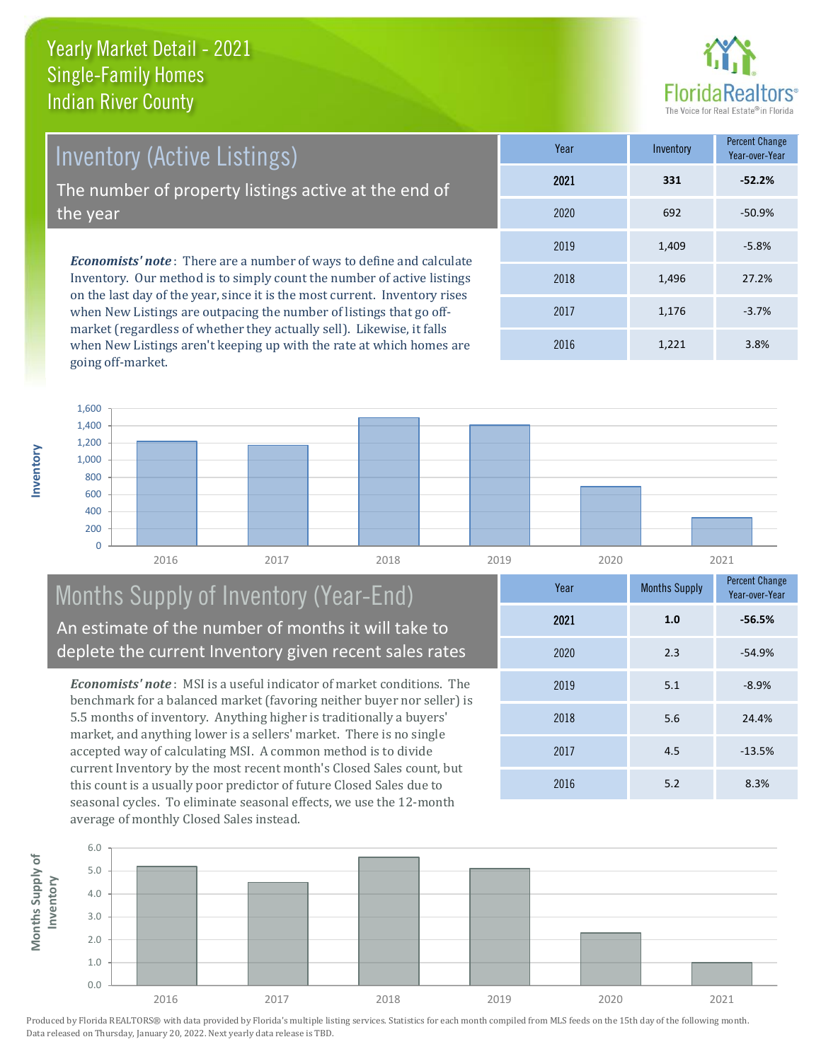

Voor-over-Vee

*Economists' note* : There are a number of ways to define and calculate Inventory. Our method is to simply count the number of active listings on the last day of the year, since it is the most current. Inventory rises **Year** Inventory Percent Change 2019 1,409 Inventory (Active Listings) The number of property listings active at the end of the year

when New Listings are outpacing the number of listings that go offmarket (regardless of whether they actually sell). Likewise, it falls when New Listings aren't keeping up with the rate at which homes are going off-market.

|      |       | .001.001.001 |
|------|-------|--------------|
| 2021 | 331   | $-52.2%$     |
| 2020 | 692   | $-50.9%$     |
| 2019 | 1,409 | $-5.8%$      |
| 2018 | 1,496 | 27.2%        |
| 2017 | 1,176 | $-3.7%$      |
| 2016 | 1,221 | 3.8%         |



# Months Supply of Inventory (Year-End) An estimate of the number of months it will take to deplete the current Inventory given recent sales rates

*Economists' note* : MSI is a useful indicator of market conditions. The benchmark for a balanced market (favoring neither buyer nor seller) is 5.5 months of inventory. Anything higher is traditionally a buyers' market, and anything lower is a sellers' market. There is no single accepted way of calculating MSI. A common method is to divide current Inventory by the most recent month's Closed Sales count, but this count is a usually poor predictor of future Closed Sales due to seasonal cycles. To eliminate seasonal effects, we use the 12-month average of monthly Closed Sales instead.



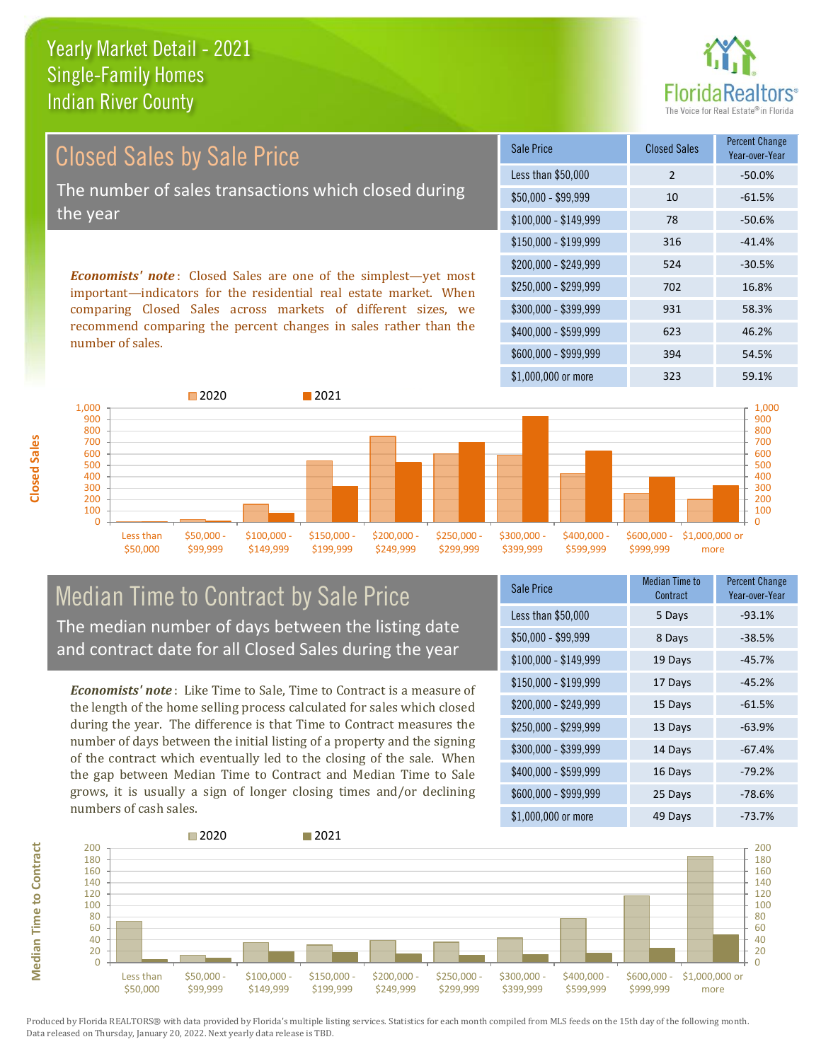

Closed Sales by Sale Price The number of sales transactions which closed during the year

*Economists' note* : Closed Sales are one of the simplest—yet most important—indicators for the residential real estate market. When comparing Closed Sales across markets of different sizes, we recommend comparing the percent changes in sales rather than the number of sales.

| <b>Sale Price</b>     | <b>Closed Sales</b> | <b>Percent Change</b><br>Year-over-Year |
|-----------------------|---------------------|-----------------------------------------|
| Less than \$50,000    | $\mathcal{P}$       | $-50.0%$                                |
| \$50,000 - \$99,999   | 10                  | $-61.5%$                                |
| $$100,000 - $149,999$ | 78                  | $-50.6%$                                |
| $$150,000 - $199,999$ | 316                 | $-41.4%$                                |
| \$200,000 - \$249,999 | 524                 | $-30.5%$                                |
| \$250,000 - \$299,999 | 702                 | 16.8%                                   |
| \$300,000 - \$399,999 | 931                 | 58.3%                                   |
| \$400,000 - \$599,999 | 623                 | 46.2%                                   |
| \$600,000 - \$999,999 | 394                 | 54.5%                                   |
| \$1,000,000 or more   | 323                 | 59.1%                                   |



# Median Time to Contract by Sale Price The median number of days between the listing date and contract date for all Closed Sales during the year

*Economists' note* : Like Time to Sale, Time to Contract is a measure of the length of the home selling process calculated for sales which closed during the year. The difference is that Time to Contract measures the number of days between the initial listing of a property and the signing of the contract which eventually led to the closing of the sale. When the gap between Median Time to Contract and Median Time to Sale grows, it is usually a sign of longer closing times and/or declining numbers of cash sales.

| <b>Sale Price</b>     | Median Time to<br>Contract | <b>Percent Change</b><br>Year-over-Year |
|-----------------------|----------------------------|-----------------------------------------|
| Less than \$50,000    | 5 Days                     | $-93.1%$                                |
| \$50,000 - \$99,999   | 8 Days                     | $-38.5%$                                |
| $$100,000 - $149,999$ | 19 Days                    | $-45.7%$                                |
| $$150,000 - $199,999$ | 17 Days                    | $-45.2%$                                |
| \$200,000 - \$249,999 | 15 Days                    | $-61.5%$                                |
| \$250,000 - \$299,999 | 13 Days                    | $-63.9%$                                |
| \$300,000 - \$399,999 | 14 Days                    | $-67.4%$                                |
| \$400,000 - \$599,999 | 16 Days                    | $-79.2%$                                |
| \$600,000 - \$999,999 | 25 Days                    | $-78.6%$                                |
| \$1,000,000 or more   | 49 Days                    | -73.7%                                  |

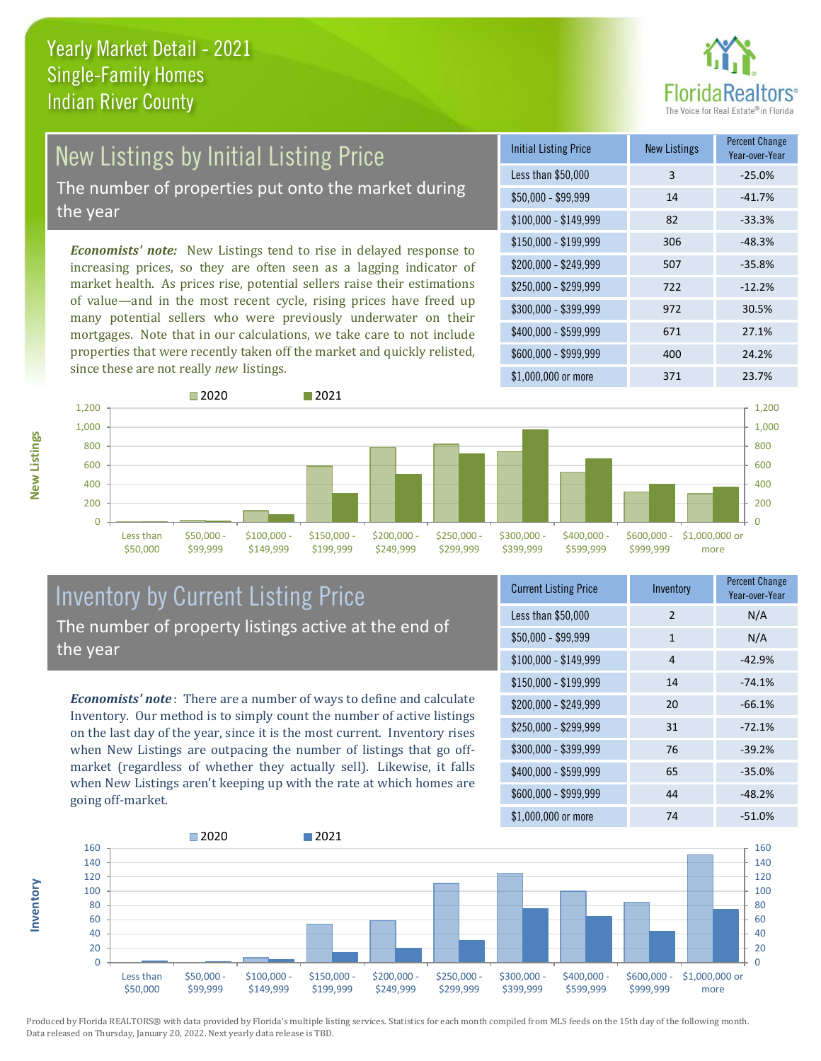

# New Listings by Initial Listing Price

The number of properties put onto the market during the year

*Economists' note:* New Listings tend to rise in delayed response to increasing prices, so they are often seen as a lagging indicator of market health. As prices rise, potential sellers raise their estimations of value—and in the most recent cycle, rising prices have freed up many potential sellers who were previously underwater on their mortgages. Note that in our calculations, we take care to not include properties that were recently taken off the market and quickly relisted, since these are not really *new* listings.

| <b>Initial Listing Price</b> | New Listings | <b>Percent Change</b><br>Year-over-Year |
|------------------------------|--------------|-----------------------------------------|
| Less than \$50,000           | 3            | $-25.0%$                                |
| $$50,000 - $99,999$          | 14           | $-41.7%$                                |
| $$100,000 - $149,999$        | 82           | $-33.3%$                                |
| $$150,000 - $199,999$        | 306          | $-48.3%$                                |
| \$200,000 - \$249,999        | 507          | $-35.8%$                                |
| \$250,000 - \$299,999        | 722          | $-12.2%$                                |
| \$300,000 - \$399,999        | 972          | 30.5%                                   |
| \$400,000 - \$599,999        | 671          | 27.1%                                   |
| \$600,000 - \$999,999        | 400          | 24.2%                                   |
| \$1,000,000 or more          | 371          | 23.7%                                   |



## Inventory by Current Listing Price The number of property listings active at the end of the year

*Economists' note* : There are a number of ways to define and calculate Inventory. Our method is to simply count the number of active listings on the last day of the year, since it is the most current. Inventory rises when New Listings are outpacing the number of listings that go offmarket (regardless of whether they actually sell). Likewise, it falls when New Listings aren't keeping up with the rate at which homes are going off-market.

| <b>Current Listing Price</b> | Inventory    | Percent Change<br>Year-over-Year |
|------------------------------|--------------|----------------------------------|
| Less than \$50,000           | 2            | N/A                              |
| $$50,000 - $99,999$          | $\mathbf{1}$ | N/A                              |
| $$100,000 - $149,999$        | 4            | $-42.9%$                         |
| $$150,000 - $199,999$        | 14           | $-74.1%$                         |
| \$200,000 - \$249,999        | 20           | $-66.1%$                         |
| \$250,000 - \$299,999        | 31           | $-72.1%$                         |
| \$300,000 - \$399,999        | 76           | $-39.2%$                         |
| \$400,000 - \$599,999        | 65           | $-35.0%$                         |
| \$600,000 - \$999,999        | 44           | $-48.2%$                         |
| $$1$ 000 000 or more         | 74           | $-51.0\%$                        |



Produced by Florida REALTORS® with data provided by Florida's multiple listing services. Statistics for each month compiled from MLS feeds on the 15th day of the following month. Data released on Thursday, January 20, 2022. Next yearly data release is TBD.

**Inventory**